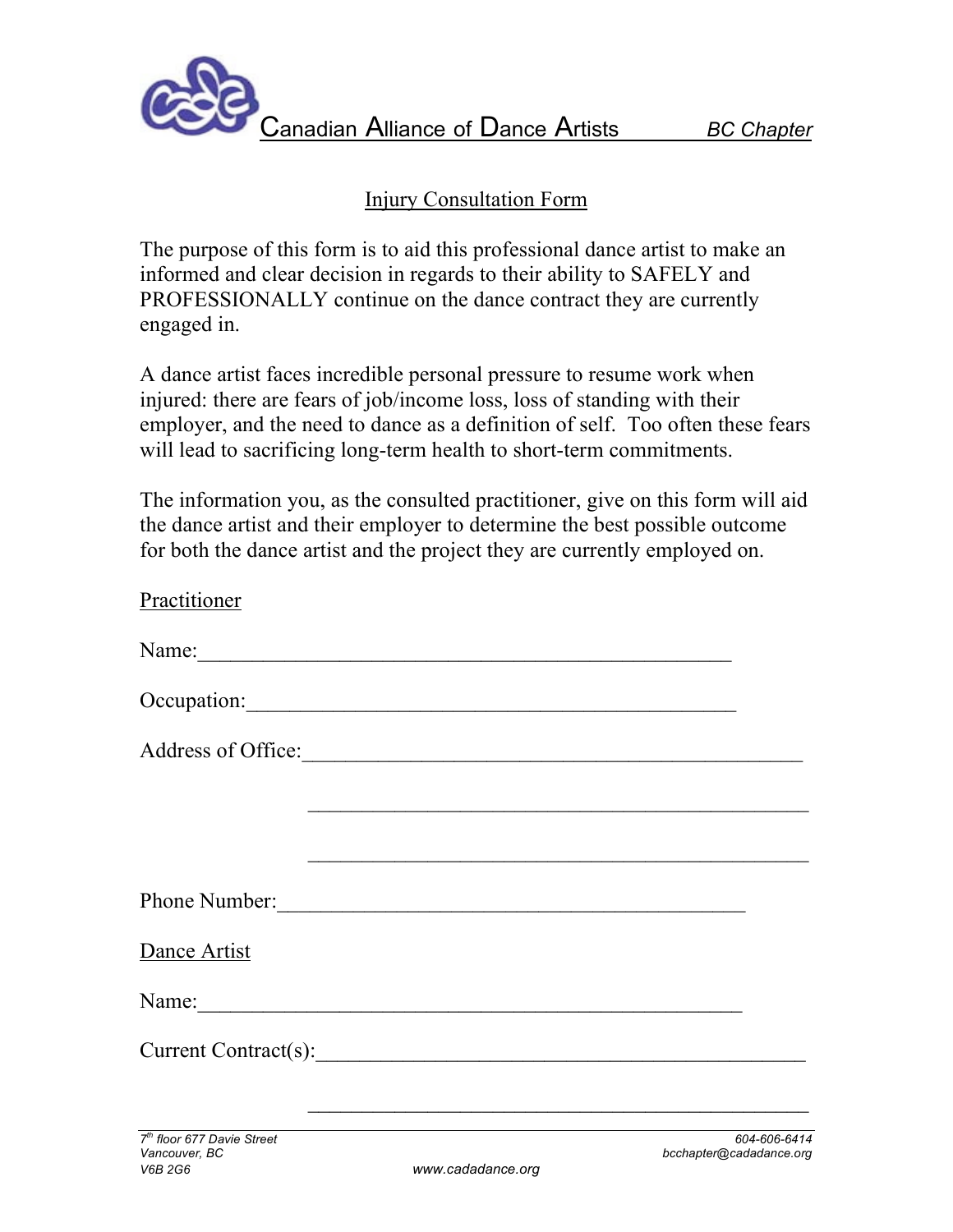

## Injury Consultation Form

The purpose of this form is to aid this professional dance artist to make an informed and clear decision in regards to their ability to SAFELY and PROFESSIONALLY continue on the dance contract they are currently engaged in.

A dance artist faces incredible personal pressure to resume work when injured: there are fears of job/income loss, loss of standing with their employer, and the need to dance as a definition of self. Too often these fears will lead to sacrificing long-term health to short-term commitments.

The information you, as the consulted practitioner, give on this form will aid the dance artist and their employer to determine the best possible outcome for both the dance artist and the project they are currently employed on.

| Practitioner                                                |  |
|-------------------------------------------------------------|--|
| Name:                                                       |  |
|                                                             |  |
| Address of Office:                                          |  |
|                                                             |  |
|                                                             |  |
|                                                             |  |
| Dance Artist                                                |  |
| Name: Name:                                                 |  |
| Current Contract(s):                                        |  |
| <u> 1989 - Johann Stoff, amerikansk politiker (d. 1989)</u> |  |